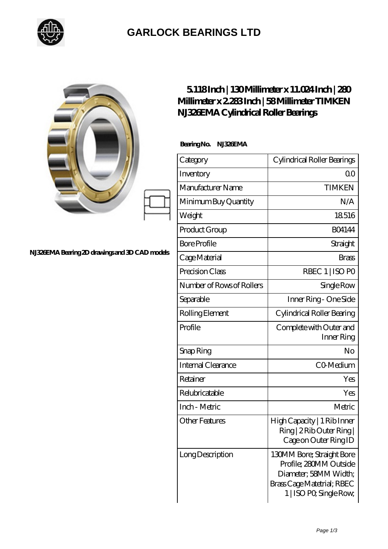

## **[GARLOCK BEARINGS LTD](https://m.letterstopriests.com)**

|                                                | 5118Inch   130Millimeter x 11.024Inch   280<br>Millimeter x 2283Inch   58Millimeter TIMKEN<br>NJ326EMA Cylindrical Roller Bearings |                                                                                                                                       |
|------------------------------------------------|------------------------------------------------------------------------------------------------------------------------------------|---------------------------------------------------------------------------------------------------------------------------------------|
|                                                | BearingNo.<br><b>NJ33EMA</b>                                                                                                       |                                                                                                                                       |
|                                                | Category                                                                                                                           | Cylindrical Roller Bearings                                                                                                           |
|                                                | Inventory                                                                                                                          | 0 <sub>0</sub>                                                                                                                        |
|                                                | Manufacturer Name                                                                                                                  | <b>TIMKEN</b>                                                                                                                         |
|                                                | Minimum Buy Quantity                                                                                                               | N/A                                                                                                                                   |
|                                                | Weight                                                                                                                             | 18516                                                                                                                                 |
|                                                | Product Group                                                                                                                      | <b>BO4144</b>                                                                                                                         |
| NJ326EMA Bearing 2D drawings and 3D CAD models | <b>Bore Profile</b>                                                                                                                | Straight                                                                                                                              |
|                                                | Cage Material                                                                                                                      | <b>Brass</b>                                                                                                                          |
|                                                | Precision Class                                                                                                                    | RBEC 1   ISO PO                                                                                                                       |
|                                                | Number of Rows of Rollers                                                                                                          | Single Row                                                                                                                            |
|                                                | Separable                                                                                                                          | Inner Ring - One Side                                                                                                                 |
|                                                | Rolling Element                                                                                                                    | Cylindrical Roller Bearing                                                                                                            |
|                                                | Profile                                                                                                                            | Complete with Outer and<br>Inner Ring                                                                                                 |
|                                                | Snap Ring                                                                                                                          | No                                                                                                                                    |
|                                                | Internal Clearance                                                                                                                 | CO-Medium                                                                                                                             |
|                                                | Retainer                                                                                                                           | Yes                                                                                                                                   |
|                                                | Relubricatable                                                                                                                     | Yes                                                                                                                                   |
|                                                | Inch - Metric                                                                                                                      | Metric                                                                                                                                |
|                                                | <b>Other Features</b>                                                                                                              | High Capacity   1 Rib Inner<br>Ring   2 Rib Outer Ring  <br>Cage on Outer Ring ID                                                     |
|                                                | Long Description                                                                                                                   | 130MM Bore; Straight Bore<br>Profile; 280MM Outside<br>Diameter; 58MM Width;<br>Brass Cage Matetrial; RBEC<br>1   ISO PO, Single Row, |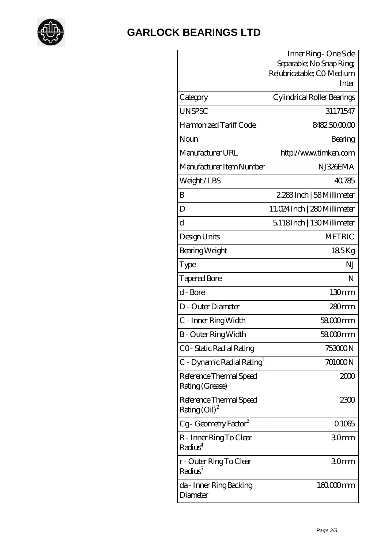

## **[GARLOCK BEARINGS LTD](https://m.letterstopriests.com)**

|                                                               | Inner Ring - One Side<br>Separable; No Snap Ring;<br>Relubricatable; CO Medium<br>Inter |
|---------------------------------------------------------------|-----------------------------------------------------------------------------------------|
| Category                                                      | Cylindrical Roller Bearings                                                             |
| <b>UNSPSC</b>                                                 | 31171547                                                                                |
| Harmonized Tariff Code                                        | 8482500000                                                                              |
| Noun                                                          | Bearing                                                                                 |
| Manufacturer URL                                              | http://www.timken.com                                                                   |
| Manufacturer Item Number                                      | NJ326EMA                                                                                |
| Weight/LBS                                                    | 40.785                                                                                  |
| B                                                             | 2,283Inch   58Millimeter                                                                |
| D                                                             | 11.024 Inch   280 Millimeter                                                            |
| d                                                             | 5.118Inch   130Millimeter                                                               |
| Design Units                                                  | <b>METRIC</b>                                                                           |
| Bearing Weight                                                | 185Kg                                                                                   |
| Type                                                          | ΝJ                                                                                      |
| <b>Tapered Bore</b>                                           | N                                                                                       |
| d - Bore                                                      | 130mm                                                                                   |
| D - Outer Diameter                                            | $280$ mm                                                                                |
| C - Inner Ring Width                                          | 58000mm                                                                                 |
| B - Outer Ring Width                                          | 58000mm                                                                                 |
| CO-Static Radial Rating                                       | 753000N                                                                                 |
| C - Dynamic Radial Rating <sup>1</sup>                        | 701000N                                                                                 |
| Reference Thermal Speed<br>Rating (Grease)                    | 2000                                                                                    |
| Reference Thermal Speed<br>Rating $\left(\text{Oil}\right)^2$ | 2300                                                                                    |
| Cg-Geometry Factor <sup>3</sup>                               | 0.1065                                                                                  |
| R - Inner Ring To Clear<br>Radius <sup>4</sup>                | 30mm                                                                                    |
| r - Outer Ring To Clear<br>Radius <sup>5</sup>                | 30mm                                                                                    |
| da - Inner Ring Backing<br>Diameter                           | $16000$ mm                                                                              |